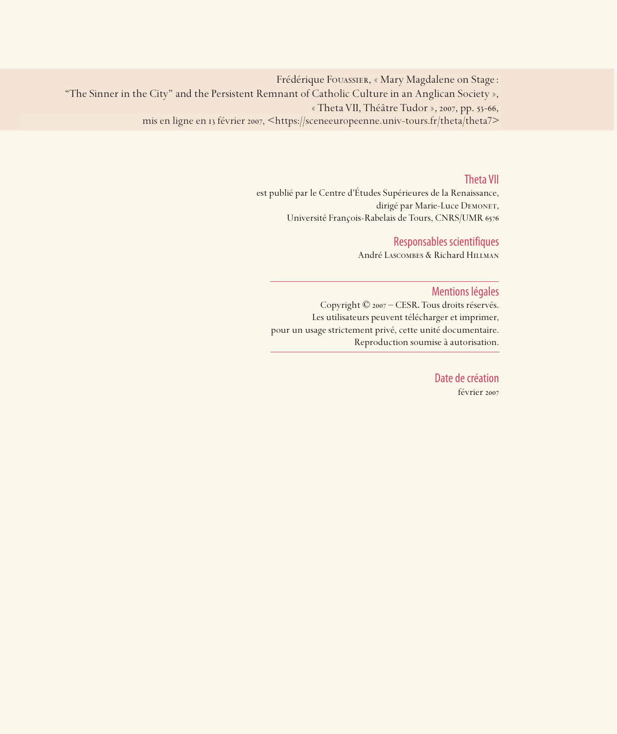Frédérique Fouassier, « Mary Magdalene on Stage : "The Sinner in the City" and the Persistent Remnant of Catholic Culture in an Anglican Society », « Theta VII, Théâtre Tudor », 2007, pp. 53-66, mis en ligne en 13 février 2007, <https://sceneeuropeenne.univ-tours.fr/theta/theta7>

### Theta VII

est publié par le Centre d'Études Supérieures de la Renaissance, dirigé par Marie-Luce DEMONET, Université François-Rabelais de Tours, CNRS/UMR

## Responsables scientifiques

André Lascombes & Richard Hillman

### Mentions légales

Copyright © 2007 – CESR. Tous droits réservés. Les utilisateurs peuvent télécharger et imprimer, pour un usage strictement privé, cette unité documentaire. Reproduction soumise à autorisation.

> Date de création février 2007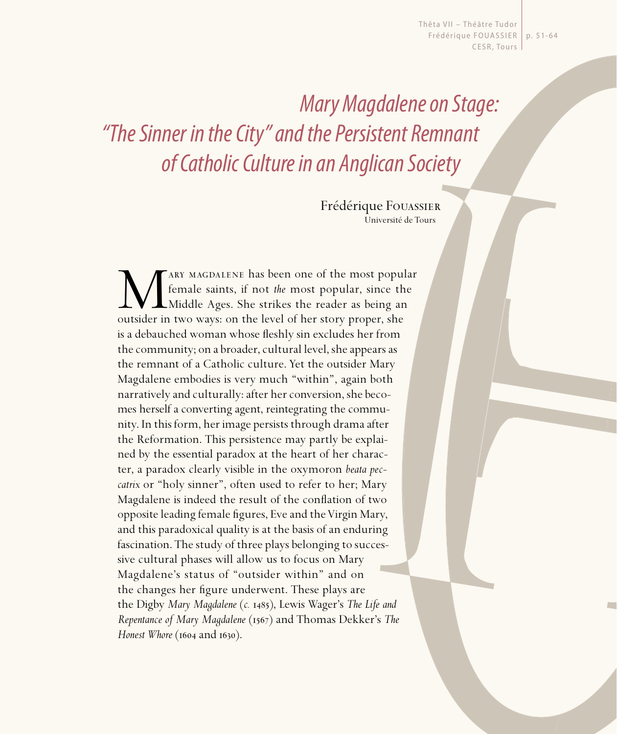Thêta VII - Théâtre Tudor Frédérique FOUASSIER | p. 51-64 CESR, Tours

Mary Magdalene on Stage: "The Sinner in the City" and the Persistent Remnant of Catholic Culture in an Anglican Society

> Frédérique Fouassier Université de Tours

Mary MAGDALENE has been one of the most popular female saints, if not *the* most popular, since the Middle Ages. She strikes the reader as being an outsider in two ways: on the level of her story proper, she female saints, if not *the* most popular, since the Middle Ages. She strikes the reader as being an is a debauched woman whose fleshly sin excludes her from the community; on a broader, cultural level, she appears as the remnant of a Catholic culture. Yet the outsider Mary Magdalene embodies is very much "within", again both narratively and culturally: after her conversion, she becomes herself a converting agent, reintegrating the community. In this form, her image persists through drama after the Reformation. This persistence may partly be explained by the essential paradox at the heart of her character, a paradox clearly visible in the oxymoron *beata peccatrix* or "holy sinner", often used to refer to her; Mary Magdalene is indeed the result of the conflation of two opposite leading female figures, Eve and the Virgin Mary, and this paradoxical quality is at the basis of an enduring fascination. The study of three plays belonging to successive cultural phases will allow us to focus on Mary Magdalene's status of "outsider within" and on the changes her figure underwent. These plays are the Digby *Mary Magdalene* (*c.* ), Lewis Wager's *The Life and Repentance of Mary Magdalene* (1567) and Thomas Dekker's *The Honest Whore* (1604 and 1630).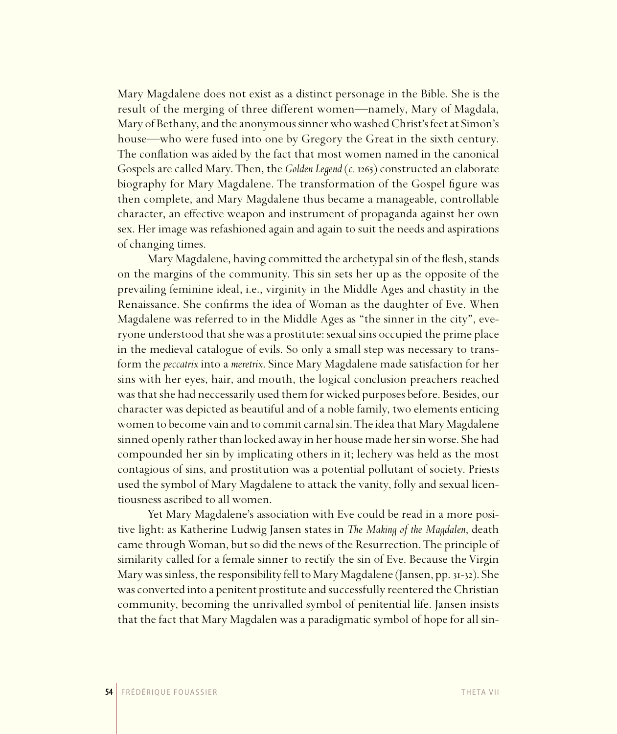Mary Magdalene does not exist as a distinct personage in the Bible. She is the result of the merging of three different women—namely, Mary of Magdala, Mary of Bethany, and the anonymous sinner who washed Christ's feet at Simon's house—who were fused into one by Gregory the Great in the sixth century. The conflation was aided by the fact that most women named in the canonical Gospels are called Mary. Then, the *Golden Legend* (*c.* 1265) constructed an elaborate biography for Mary Magdalene. The transformation of the Gospel figure was then complete, and Mary Magdalene thus became a manageable, controllable character, an effective weapon and instrument of propaganda against her own sex. Her image was refashioned again and again to suit the needs and aspirations of changing times.

Mary Magdalene, having committed the archetypal sin of the flesh, stands on the margins of the community. This sin sets her up as the opposite of the prevailing feminine ideal, i.e., virginity in the Middle Ages and chastity in the Renaissance. She confirms the idea of Woman as the daughter of Eve. When Magdalene was referred to in the Middle Ages as "the sinner in the city", everyone understood that she was a prostitute: sexual sins occupied the prime place in the medieval catalogue of evils. So only a small step was necessary to transform the *peccatrix* into a *meretrix*. Since Mary Magdalene made satisfaction for her sins with her eyes, hair, and mouth, the logical conclusion preachers reached was that she had neccessarily used them for wicked purposes before. Besides, our character was depicted as beautiful and of a noble family, two elements enticing women to become vain and to commit carnal sin. The idea that Mary Magdalene sinned openly rather than locked away in her house made her sin worse. She had compounded her sin by implicating others in it; lechery was held as the most contagious of sins, and prostitution was a potential pollutant of society. Priests used the symbol of Mary Magdalene to attack the vanity, folly and sexual licentiousness ascribed to all women.

Yet Mary Magdalene's association with Eve could be read in a more positive light: as Katherine Ludwig Jansen states in *The Making of the Magdalen*, death came through Woman, but so did the news of the Resurrection. The principle of similarity called for a female sinner to rectify the sin of Eve. Because the Virgin Mary was sinless, the responsibility fell to Mary Magdalene (Jansen, pp. 31-32). She was converted into a penitent prostitute and successfully reentered the Christian community, becoming the unrivalled symbol of penitential life. Jansen insists that the fact that Mary Magdalen was a paradigmatic symbol of hope for all sin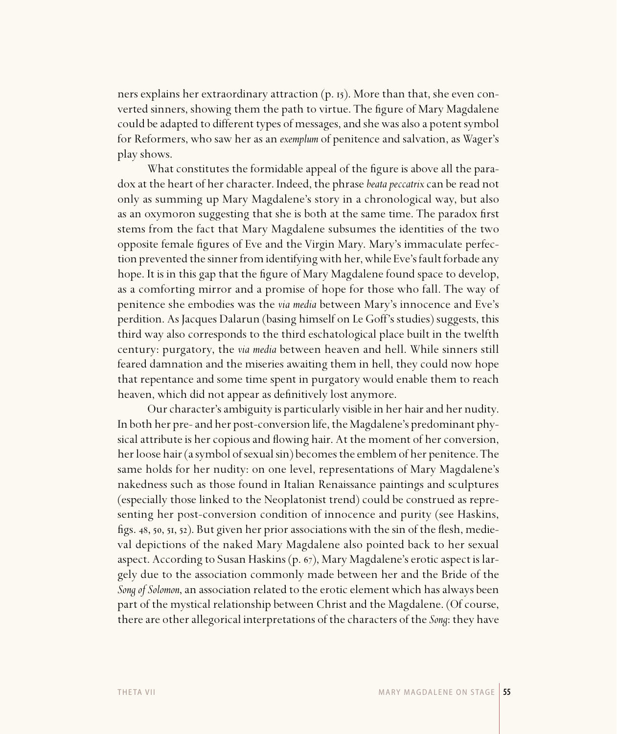ners explains her extraordinary attraction  $(p. 15)$ . More than that, she even converted sinners, showing them the path to virtue. The figure of Mary Magdalene could be adapted to different types of messages, and she was also a potent symbol for Reformers, who saw her as an *exemplum* of penitence and salvation, as Wager's play shows.

What constitutes the formidable appeal of the figure is above all the paradox at the heart of her character. Indeed, the phrase *beata peccatrix* can be read not only as summing up Mary Magdalene's story in a chronological way, but also as an oxymoron suggesting that she is both at the same time. The paradox first stems from the fact that Mary Magdalene subsumes the identities of the two opposite female figures of Eve and the Virgin Mary. Mary's immaculate perfection prevented the sinner from identifying with her, while Eve's fault forbade any hope. It is in this gap that the figure of Mary Magdalene found space to develop, as a comforting mirror and a promise of hope for those who fall. The way of penitence she embodies was the *via media* between Mary's innocence and Eve's perdition. As Jacques Dalarun (basing himself on Le Goff's studies) suggests, this third way also corresponds to the third eschatological place built in the twelfth century: purgatory, the *via media* between heaven and hell. While sinners still feared damnation and the miseries awaiting them in hell, they could now hope that repentance and some time spent in purgatory would enable them to reach heaven, which did not appear as definitively lost anymore.

Our character's ambiguity is particularly visible in her hair and her nudity. In both her pre- and her post-conversion life, the Magdalene's predominant physical attribute is her copious and flowing hair. At the moment of her conversion, her loose hair (a symbol of sexual sin) becomes the emblem of her penitence. The same holds for her nudity: on one level, representations of Mary Magdalene's nakedness such as those found in Italian Renaissance paintings and sculptures (especially those linked to the Neoplatonist trend) could be construed as representing her post-conversion condition of innocence and purity (see Haskins, figs. 48, 50, 51, 52). But given her prior associations with the sin of the flesh, medieval depictions of the naked Mary Magdalene also pointed back to her sexual aspect. According to Susan Haskins (p.  $67$ ), Mary Magdalene's erotic aspect is largely due to the association commonly made between her and the Bride of the *Song of Solomon*, an association related to the erotic element which has always been part of the mystical relationship between Christ and the Magdalene. (Of course, there are other allegorical interpretations of the characters of the *Song*: they have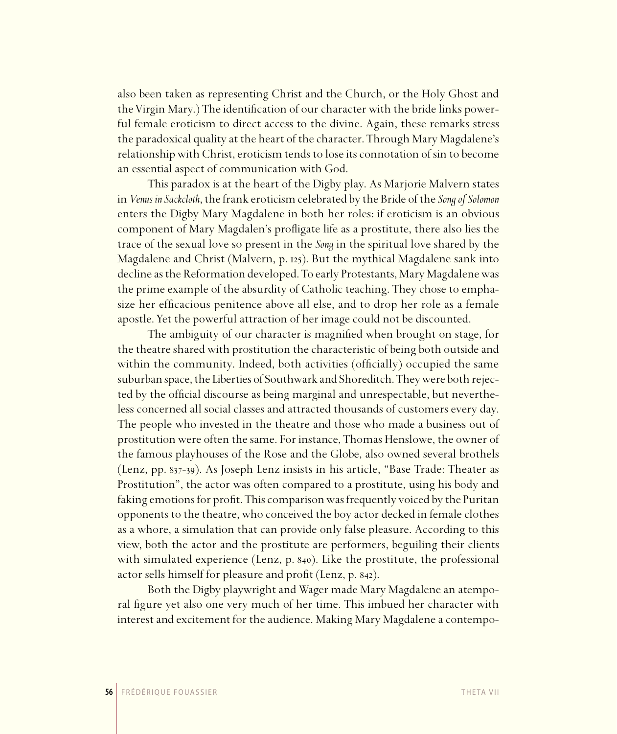also been taken as representing Christ and the Church, or the Holy Ghost and the Virgin Mary.) The identification of our character with the bride links powerful female eroticism to direct access to the divine. Again, these remarks stress the paradoxical quality at the heart of the character. Through Mary Magdalene's relationship with Christ, eroticism tends to lose its connotation of sin to become an essential aspect of communication with God.

This paradox is at the heart of the Digby play. As Marjorie Malvern states in *Venus inSackcloth*, the frank eroticism celebrated by the Bride of the *Song of Solomon*  enters the Digby Mary Magdalene in both her roles: if eroticism is an obvious component of Mary Magdalen's profligate life as a prostitute, there also lies the trace of the sexual love so present in the *Song* in the spiritual love shared by the Magdalene and Christ (Malvern, p. 125). But the mythical Magdalene sank into decline as the Reformation developed. To early Protestants, Mary Magdalene was the prime example of the absurdity of Catholic teaching. They chose to emphasize her efficacious penitence above all else, and to drop her role as a female apostle. Yet the powerful attraction of her image could not be discounted.

The ambiguity of our character is magnified when brought on stage, for the theatre shared with prostitution the characteristic of being both outside and within the community. Indeed, both activities (officially) occupied the same suburban space, the Liberties of Southwark and Shoreditch. They were both rejected by the official discourse as being marginal and unrespectable, but nevertheless concerned all social classes and attracted thousands of customers every day. The people who invested in the theatre and those who made a business out of prostitution were often the same. For instance, Thomas Henslowe, the owner of the famous playhouses of the Rose and the Globe, also owned several brothels (Lenz, pp.  $837-39$ ). As Joseph Lenz insists in his article, "Base Trade: Theater as Prostitution", the actor was often compared to a prostitute, using his body and faking emotions for profit. This comparison was frequently voiced by the Puritan opponents to the theatre, who conceived the boy actor decked in female clothes as a whore, a simulation that can provide only false pleasure. According to this view, both the actor and the prostitute are performers, beguiling their clients with simulated experience (Lenz, p. 840). Like the prostitute, the professional actor sells himself for pleasure and profit (Lenz, p. 842).

Both the Digby playwright and Wager made Mary Magdalene an atemporal figure yet also one very much of her time. This imbued her character with interest and excitement for the audience. Making Mary Magdalene a contempo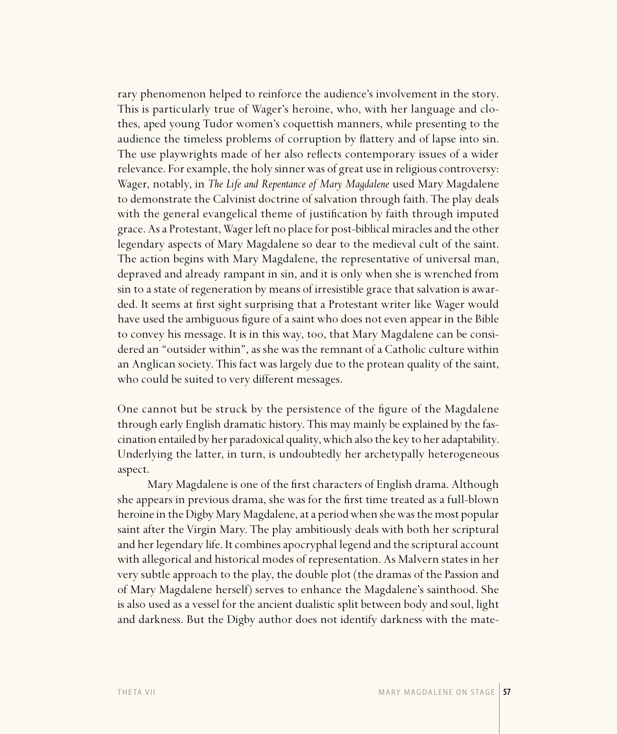rary phenomenon helped to reinforce the audience's involvement in the story. This is particularly true of Wager's heroine, who, with her language and clothes, aped young Tudor women's coquettish manners, while presenting to the audience the timeless problems of corruption by flattery and of lapse into sin. The use playwrights made of her also reflects contemporary issues of a wider relevance. For example, the holy sinner was of great use in religious controversy: Wager, notably, in *The Life and Repentance of Mary Magdalene* used Mary Magdalene to demonstrate the Calvinist doctrine of salvation through faith. The play deals with the general evangelical theme of justification by faith through imputed grace. As a Protestant, Wager left no place for post-biblical miracles and the other legendary aspects of Mary Magdalene so dear to the medieval cult of the saint. The action begins with Mary Magdalene, the representative of universal man, depraved and already rampant in sin, and it is only when she is wrenched from sin to a state of regeneration by means of irresistible grace that salvation is awarded. It seems at first sight surprising that a Protestant writer like Wager would have used the ambiguous figure of a saint who does not even appear in the Bible to convey his message. It is in this way, too, that Mary Magdalene can be considered an "outsider within", as she was the remnant of a Catholic culture within an Anglican society. This fact was largely due to the protean quality of the saint, who could be suited to very different messages.

One cannot but be struck by the persistence of the figure of the Magdalene through early English dramatic history. This may mainly be explained by the fascination entailed by her paradoxical quality, which also the key to her adaptability. Underlying the latter, in turn, is undoubtedly her archetypally heterogeneous aspect.

Mary Magdalene is one of the first characters of English drama. Although she appears in previous drama, she was for the first time treated as a full-blown heroine in the Digby Mary Magdalene, at a period when she was the most popular saint after the Virgin Mary. The play ambitiously deals with both her scriptural and her legendary life. It combines apocryphal legend and the scriptural account with allegorical and historical modes of representation. As Malvern states in her very subtle approach to the play, the double plot (the dramas of the Passion and of Mary Magdalene herself) serves to enhance the Magdalene's sainthood. She is also used as a vessel for the ancient dualistic split between body and soul, light and darkness. But the Digby author does not identify darkness with the mate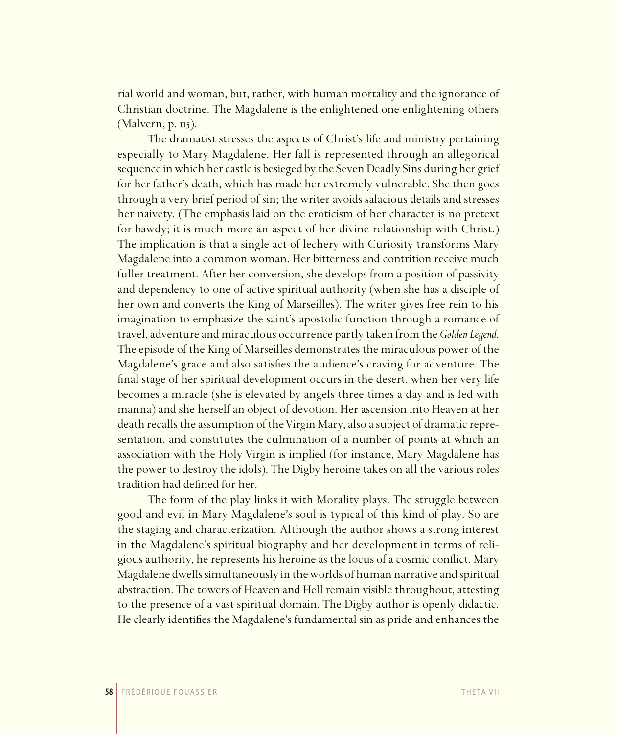rial world and woman, but, rather, with human mortality and the ignorance of Christian doctrine. The Magdalene is the enlightened one enlightening others  $(Malvern, p. II<sub>5</sub>).$ 

The dramatist stresses the aspects of Christ's life and ministry pertaining especially to Mary Magdalene. Her fall is represented through an allegorical sequence in which her castle is besieged by the Seven Deadly Sins during her grief for her father's death, which has made her extremely vulnerable. She then goes through a very brief period of sin; the writer avoids salacious details and stresses her naivety. (The emphasis laid on the eroticism of her character is no pretext for bawdy; it is much more an aspect of her divine relationship with Christ.) The implication is that a single act of lechery with Curiosity transforms Mary Magdalene into a common woman. Her bitterness and contrition receive much fuller treatment. After her conversion, she develops from a position of passivity and dependency to one of active spiritual authority (when she has a disciple of her own and converts the King of Marseilles). The writer gives free rein to his imagination to emphasize the saint's apostolic function through a romance of travel, adventure and miraculous occurrence partly taken from the *Golden Legend*. The episode of the King of Marseilles demonstrates the miraculous power of the Magdalene's grace and also satisfies the audience's craving for adventure. The final stage of her spiritual development occurs in the desert, when her very life becomes a miracle (she is elevated by angels three times a day and is fed with manna) and she herself an object of devotion. Her ascension into Heaven at her death recalls the assumption of the Virgin Mary, also a subject of dramatic representation, and constitutes the culmination of a number of points at which an association with the Holy Virgin is implied (for instance, Mary Magdalene has the power to destroy the idols). The Digby heroine takes on all the various roles tradition had defined for her.

The form of the play links it with Morality plays. The struggle between good and evil in Mary Magdalene's soul is typical of this kind of play. So are the staging and characterization. Although the author shows a strong interest in the Magdalene's spiritual biography and her development in terms of religious authority, he represents his heroine as the locus of a cosmic conflict. Mary Magdalene dwells simultaneously in the worlds of human narrative and spiritual abstraction. The towers of Heaven and Hell remain visible throughout, attesting to the presence of a vast spiritual domain. The Digby author is openly didactic. He clearly identifies the Magdalene's fundamental sin as pride and enhances the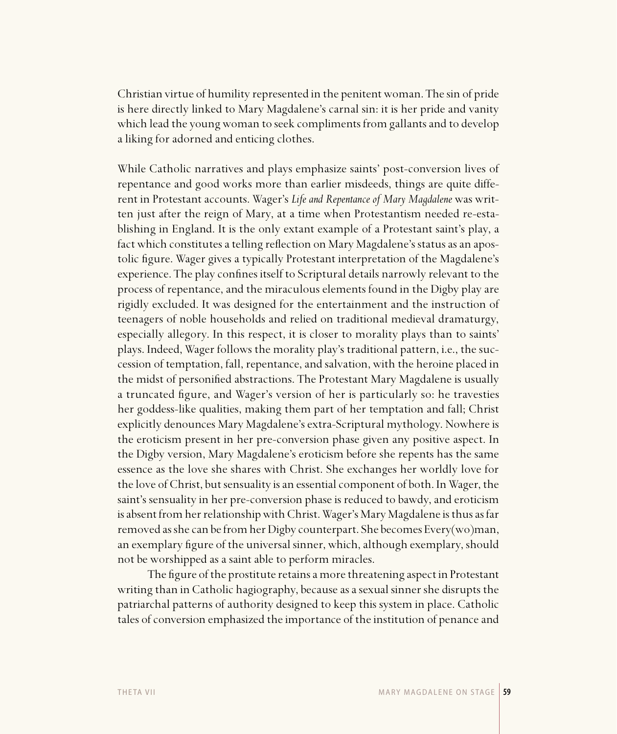Christian virtue of humility represented in the penitent woman. The sin of pride is here directly linked to Mary Magdalene's carnal sin: it is her pride and vanity which lead the young woman to seek compliments from gallants and to develop a liking for adorned and enticing clothes.

While Catholic narratives and plays emphasize saints' post-conversion lives of repentance and good works more than earlier misdeeds, things are quite different in Protestant accounts. Wager's *Life and Repentance of Mary Magdalene* was written just after the reign of Mary, at a time when Protestantism needed re-establishing in England. It is the only extant example of a Protestant saint's play, a fact which constitutes a telling reflection on Mary Magdalene's status as an apostolic figure. Wager gives a typically Protestant interpretation of the Magdalene's experience. The play confines itself to Scriptural details narrowly relevant to the process of repentance, and the miraculous elements found in the Digby play are rigidly excluded. It was designed for the entertainment and the instruction of teenagers of noble households and relied on traditional medieval dramaturgy, especially allegory. In this respect, it is closer to morality plays than to saints' plays. Indeed, Wager follows the morality play's traditional pattern, i.e., the succession of temptation, fall, repentance, and salvation, with the heroine placed in the midst of personified abstractions. The Protestant Mary Magdalene is usually a truncated figure, and Wager's version of her is particularly so: he travesties her goddess-like qualities, making them part of her temptation and fall; Christ explicitly denounces Mary Magdalene's extra-Scriptural mythology. Nowhere is the eroticism present in her pre-conversion phase given any positive aspect. In the Digby version, Mary Magdalene's eroticism before she repents has the same essence as the love she shares with Christ. She exchanges her worldly love for the love of Christ, but sensuality is an essential component of both. In Wager, the saint's sensuality in her pre-conversion phase is reduced to bawdy, and eroticism is absent from her relationship with Christ. Wager's Mary Magdalene is thus as far removed as she can be from her Digby counterpart. She becomes Every(wo)man, an exemplary figure of the universal sinner, which, although exemplary, should not be worshipped as a saint able to perform miracles.

The figure of the prostitute retains a more threatening aspect in Protestant writing than in Catholic hagiography, because as a sexual sinner she disrupts the patriarchal patterns of authority designed to keep this system in place. Catholic tales of conversion emphasized the importance of the institution of penance and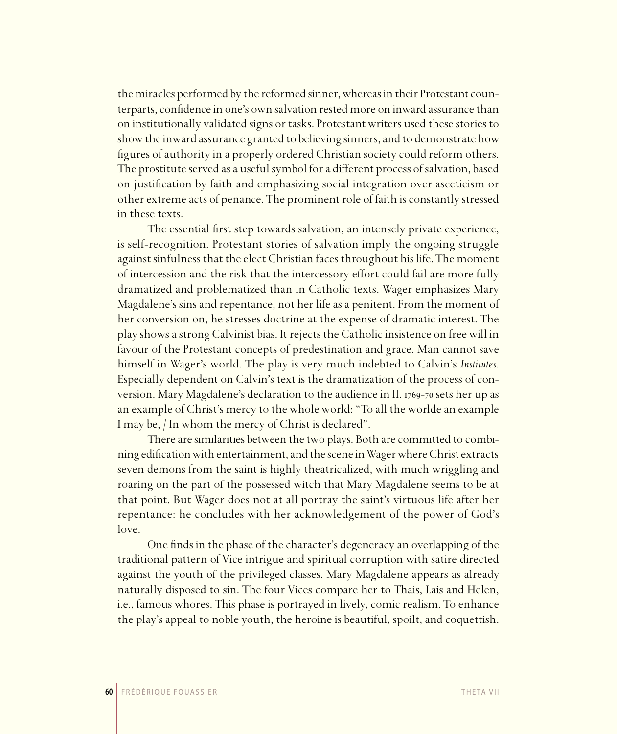the miracles performed by the reformed sinner, whereas in their Protestant counterparts, confidence in one's own salvation rested more on inward assurance than on institutionally validated signs or tasks. Protestant writers used these stories to show the inward assurance granted to believing sinners, and to demonstrate how figures of authority in a properly ordered Christian society could reform others. The prostitute served as a useful symbol for a different process of salvation, based on justification by faith and emphasizing social integration over asceticism or other extreme acts of penance. The prominent role of faith is constantly stressed in these texts.

The essential first step towards salvation, an intensely private experience, is self-recognition. Protestant stories of salvation imply the ongoing struggle against sinfulness that the elect Christian faces throughout his life. The moment of intercession and the risk that the intercessory effort could fail are more fully dramatized and problematized than in Catholic texts. Wager emphasizes Mary Magdalene's sins and repentance, not her life as a penitent. From the moment of her conversion on, he stresses doctrine at the expense of dramatic interest. The play shows a strong Calvinist bias. It rejects the Catholic insistence on free will in favour of the Protestant concepts of predestination and grace. Man cannot save himself in Wager's world. The play is very much indebted to Calvin's *Institutes*. Especially dependent on Calvin's text is the dramatization of the process of conversion. Mary Magdalene's declaration to the audience in Il. 1769-70 sets her up as an example of Christ's mercy to the whole world: "To all the worlde an example I may be, / In whom the mercy of Christ is declared".

There are similarities between the two plays. Both are committed to combining edification with entertainment, and the scene in Wager where Christ extracts seven demons from the saint is highly theatricalized, with much wriggling and roaring on the part of the possessed witch that Mary Magdalene seems to be at that point. But Wager does not at all portray the saint's virtuous life after her repentance: he concludes with her acknowledgement of the power of God's love.

One finds in the phase of the character's degeneracy an overlapping of the traditional pattern of Vice intrigue and spiritual corruption with satire directed against the youth of the privileged classes. Mary Magdalene appears as already naturally disposed to sin. The four Vices compare her to Thais, Lais and Helen, i.e., famous whores. This phase is portrayed in lively, comic realism. To enhance the play's appeal to noble youth, the heroine is beautiful, spoilt, and coquettish.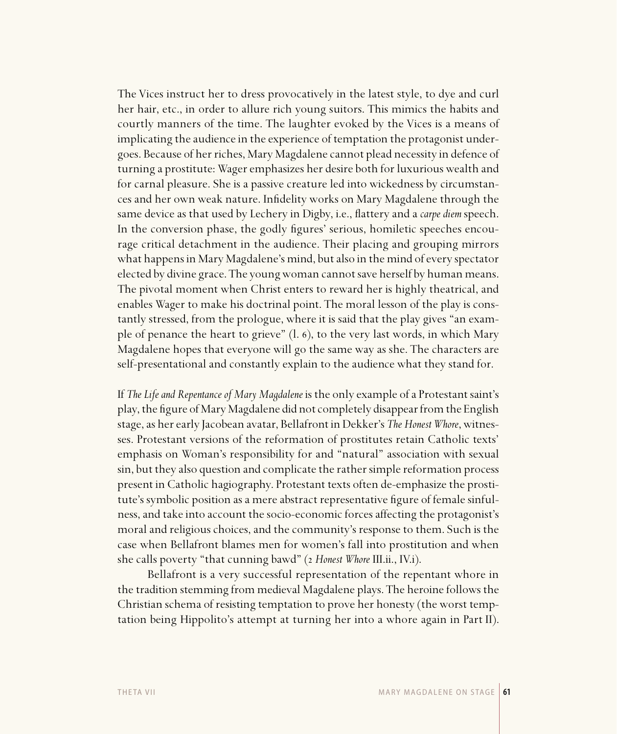The Vices instruct her to dress provocatively in the latest style, to dye and curl her hair, etc., in order to allure rich young suitors. This mimics the habits and courtly manners of the time. The laughter evoked by the Vices is a means of implicating the audience in the experience of temptation the protagonist undergoes. Because of her riches, Mary Magdalene cannot plead necessity in defence of turning a prostitute: Wager emphasizes her desire both for luxurious wealth and for carnal pleasure. She is a passive creature led into wickedness by circumstances and her own weak nature. Infidelity works on Mary Magdalene through the same device as that used by Lechery in Digby, i.e., flattery and a *carpe diem* speech. In the conversion phase, the godly figures' serious, homiletic speeches encourage critical detachment in the audience. Their placing and grouping mirrors what happens in Mary Magdalene's mind, but also in the mind of every spectator elected by divine grace. The young woman cannot save herself by human means. The pivotal moment when Christ enters to reward her is highly theatrical, and enables Wager to make his doctrinal point. The moral lesson of the play is constantly stressed, from the prologue, where it is said that the play gives "an example of penance the heart to grieve"  $(l. 6)$ , to the very last words, in which Mary Magdalene hopes that everyone will go the same way as she. The characters are self-presentational and constantly explain to the audience what they stand for.

If *The Life and Repentance of Mary Magdalene* is the only example of a Protestant saint's play, the figure of Mary Magdalene did not completely disappear from the English stage, as her early Jacobean avatar, Bellafront in Dekker's *The Honest Whore*, witnesses. Protestant versions of the reformation of prostitutes retain Catholic texts' emphasis on Woman's responsibility for and "natural" association with sexual sin, but they also question and complicate the rather simple reformation process present in Catholic hagiography. Protestant texts often de-emphasize the prostitute's symbolic position as a mere abstract representative figure of female sinfulness, and take into account the socio-economic forces affecting the protagonist's moral and religious choices, and the community's response to them. Such is the case when Bellafront blames men for women's fall into prostitution and when she calls poverty "that cunning bawd" (2 Honest Whore III.ii., IV.i).

Bellafront is a very successful representation of the repentant whore in the tradition stemming from medieval Magdalene plays. The heroine follows the Christian schema of resisting temptation to prove her honesty (the worst temptation being Hippolito's attempt at turning her into a whore again in Part II).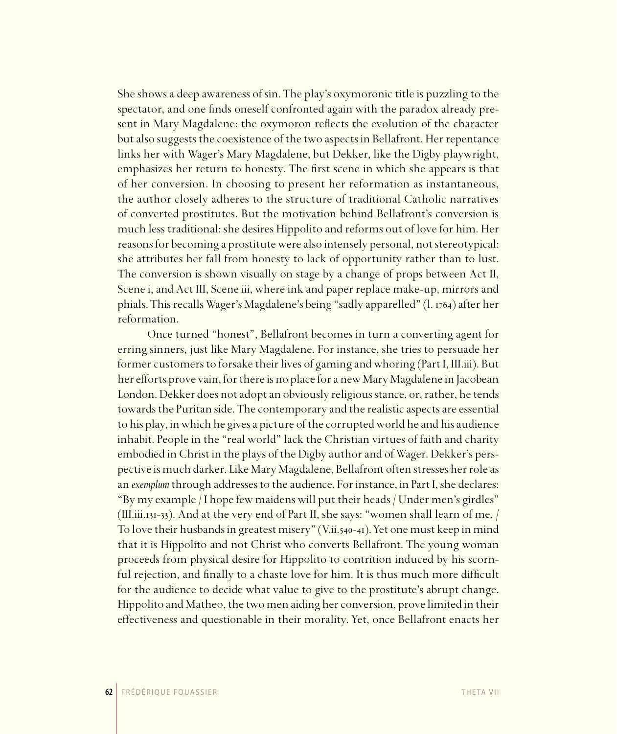She shows a deep awareness of sin. The play's oxymoronic title is puzzling to the spectator, and one finds oneself confronted again with the paradox already present in Mary Magdalene: the oxymoron reflects the evolution of the character but also suggests the coexistence of the two aspects in Bellafront. Her repentance links her with Wager's Mary Magdalene, but Dekker, like the Digby playwright, emphasizes her return to honesty. The first scene in which she appears is that of her conversion. In choosing to present her reformation as instantaneous, the author closely adheres to the structure of traditional Catholic narratives of converted prostitutes. But the motivation behind Bellafront's conversion is much less traditional: she desires Hippolito and reforms out of love for him. Her reasons for becoming a prostitute were also intensely personal, not stereotypical: she attributes her fall from honesty to lack of opportunity rather than to lust. The conversion is shown visually on stage by a change of props between Act II, Scene i, and Act III, Scene iii, where ink and paper replace make-up, mirrors and phials. This recalls Wager's Magdalene's being "sadly apparelled" (1. 1764) after her reformation.

Once turned "honest", Bellafront becomes in turn a converting agent for erring sinners, just like Mary Magdalene. For instance, she tries to persuade her former customers to forsake their lives of gaming and whoring (Part I, III.iii). But her efforts prove vain, for there is no place for a new Mary Magdalene in Jacobean London. Dekker does not adopt an obviously religious stance, or, rather, he tends towards the Puritan side. The contemporary and the realistic aspects are essential to his play, in which he gives a picture of the corrupted world he and his audience inhabit. People in the "real world" lack the Christian virtues of faith and charity embodied in Christ in the plays of the Digby author and of Wager. Dekker's perspective is much darker. Like Mary Magdalene, Bellafront often stresses her role as an *exemplum* through addresses to the audience. For instance, in Part I, she declares: "By my example / I hope few maidens will put their heads / Under men's girdles" (III.iii.131-33). And at the very end of Part II, she says: "women shall learn of me,  $/$ To love their husbands in greatest misery" (V.ii.540-41). Yet one must keep in mind that it is Hippolito and not Christ who converts Bellafront. The young woman proceeds from physical desire for Hippolito to contrition induced by his scornful rejection, and finally to a chaste love for him. It is thus much more difficult for the audience to decide what value to give to the prostitute's abrupt change. Hippolito and Matheo, the two men aiding her conversion, prove limited in their effectiveness and questionable in their morality. Yet, once Bellafront enacts her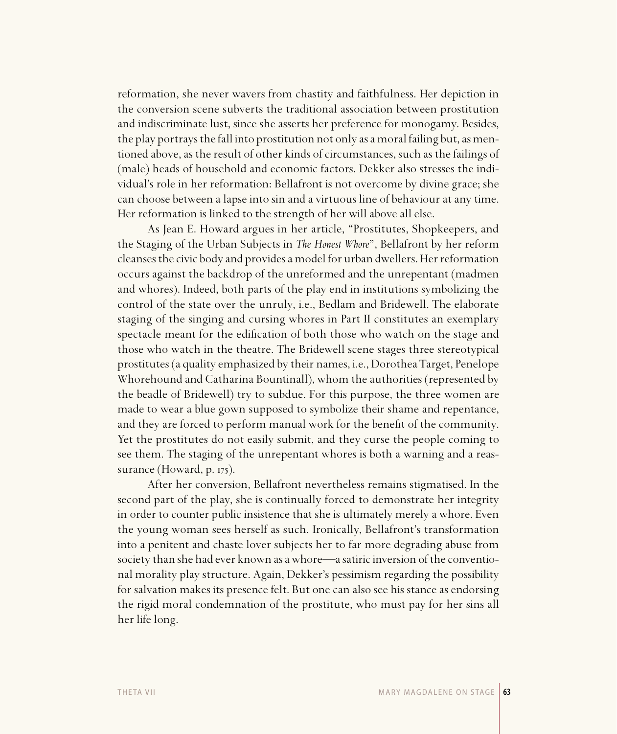reformation, she never wavers from chastity and faithfulness. Her depiction in the conversion scene subverts the traditional association between prostitution and indiscriminate lust, since she asserts her preference for monogamy. Besides, the play portrays the fall into prostitution not only as a moral failing but, as mentioned above, as the result of other kinds of circumstances, such as the failings of (male) heads of household and economic factors. Dekker also stresses the individual's role in her reformation: Bellafront is not overcome by divine grace; she can choose between a lapse into sin and a virtuous line of behaviour at any time. Her reformation is linked to the strength of her will above all else.

As Jean E. Howard argues in her article, "Prostitutes, Shopkeepers, and the Staging of the Urban Subjects in *The Honest Whore*", Bellafront by her reform cleanses the civic body and provides a model for urban dwellers. Her reformation occurs against the backdrop of the unreformed and the unrepentant (madmen and whores). Indeed, both parts of the play end in institutions symbolizing the control of the state over the unruly, i.e., Bedlam and Bridewell. The elaborate staging of the singing and cursing whores in Part II constitutes an exemplary spectacle meant for the edification of both those who watch on the stage and those who watch in the theatre. The Bridewell scene stages three stereotypical prostitutes (a quality emphasized by their names, i.e., Dorothea Target, Penelope Whorehound and Catharina Bountinall), whom the authorities (represented by the beadle of Bridewell) try to subdue. For this purpose, the three women are made to wear a blue gown supposed to symbolize their shame and repentance, and they are forced to perform manual work for the benefit of the community. Yet the prostitutes do not easily submit, and they curse the people coming to see them. The staging of the unrepentant whores is both a warning and a reassurance (Howard,  $p.$  175).

After her conversion, Bellafront nevertheless remains stigmatised. In the second part of the play, she is continually forced to demonstrate her integrity in order to counter public insistence that she is ultimately merely a whore. Even the young woman sees herself as such. Ironically, Bellafront's transformation into a penitent and chaste lover subjects her to far more degrading abuse from society than she had ever known as a whore—a satiric inversion of the conventional morality play structure. Again, Dekker's pessimism regarding the possibility for salvation makes its presence felt. But one can also see his stance as endorsing the rigid moral condemnation of the prostitute, who must pay for her sins all her life long.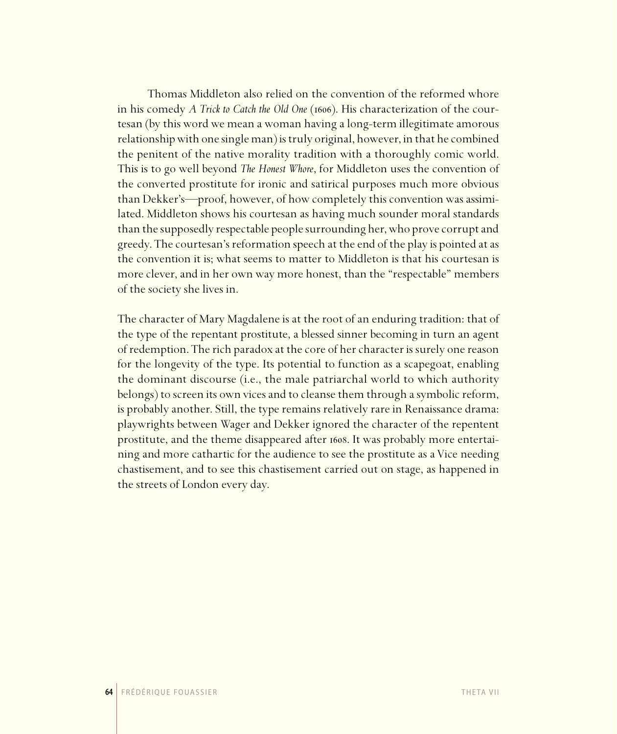Thomas Middleton also relied on the convention of the reformed whore in his comedy *A Trick to Catch the Old One* (1606). His characterization of the courtesan (by this word we mean a woman having a long-term illegitimate amorous relationship with one single man) is truly original, however, in that he combined the penitent of the native morality tradition with a thoroughly comic world. This is to go well beyond *The Honest Whore*, for Middleton uses the convention of the converted prostitute for ironic and satirical purposes much more obvious than Dekker's—proof, however, of how completely this convention was assimilated. Middleton shows his courtesan as having much sounder moral standards than the supposedly respectable people surrounding her, who prove corrupt and greedy. The courtesan's reformation speech at the end of the play is pointed at as the convention it is; what seems to matter to Middleton is that his courtesan is more clever, and in her own way more honest, than the "respectable" members of the society she lives in.

The character of Mary Magdalene is at the root of an enduring tradition: that of the type of the repentant prostitute, a blessed sinner becoming in turn an agent of redemption. The rich paradox at the core of her character is surely one reason for the longevity of the type. Its potential to function as a scapegoat, enabling the dominant discourse (i.e., the male patriarchal world to which authority belongs) to screen its own vices and to cleanse them through a symbolic reform, is probably another. Still, the type remains relatively rare in Renaissance drama: playwrights between Wager and Dekker ignored the character of the repentent prostitute, and the theme disappeared after 1608. It was probably more entertaining and more cathartic for the audience to see the prostitute as a Vice needing chastisement, and to see this chastisement carried out on stage, as happened in the streets of London every day.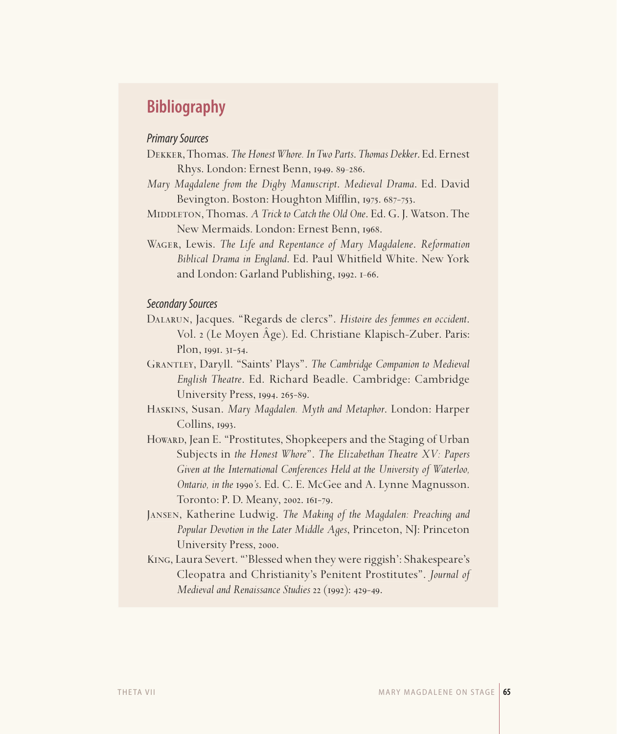# **Bibliography**

## Primary Sources

- Dekker, Thomas. *The Honest Whore. In Two Parts*. *Thomas Dekker*. Ed. Ernest Rhys. London: Ernest Benn, 1949, 89-286.
- *Mary Magdalene from the Digby Manuscript*. *Medieval Drama*. Ed. David Bevington. Boston: Houghton Mifflin, 1975. 687-753.
- MIDDLETON, Thomas. *A Trick to Catch the Old One*. Ed. G. J. Watson. The New Mermaids. London: Ernest Benn, 1968.
- Wager, Lewis. *The Life and Repentance of Mary Magdalene*. *Reformation Biblical Drama in England.* Ed. Paul Whitfield White. New York and London: Garland Publishing,  $1992.1 - 66$ .

### Secondary Sources

- Dalarun, Jacques. "Regards de clercs". *Histoire des femmes en occident*. Vol. (Le Moyen Âge). Ed. Christiane Klapisch-Zuber. Paris:  $Plon, 1991. 31-54.$
- Grantley, Daryll. "Saints' Plays". *The Cambridge Companion to Medieval English Theatre*. Ed. Richard Beadle. Cambridge: Cambridge University Press, 1994. 265-89.
- Haskins, Susan. *Mary Magdalen. Myth and Metaphor*. London: Harper  $Collins, 1993.$
- Howard, Jean E. "Prostitutes, Shopkeepers and the Staging of Urban Subjects in *the Honest Whore*". *The Elizabethan Theatre XV: Papers Given at the International Conferences Held at the University of Waterloo, Ontario, in the 's*. Ed. C. E. McGee and A. Lynne Magnusson. Toronto: P. D. Meany, 2002. 161-79.
- Jansen, Katherine Ludwig. *The Making of the Magdalen: Preaching and Popular Devotion in the Later Middle Ages*, Princeton, NJ: Princeton University Press, 2000.
- King, Laura Severt. "'Blessed when they were riggish': Shakespeare's Cleopatra and Christianity's Penitent Prostitutes". *Journal of Medieval and Renaissance Studies* 22 (1992): 429-49.